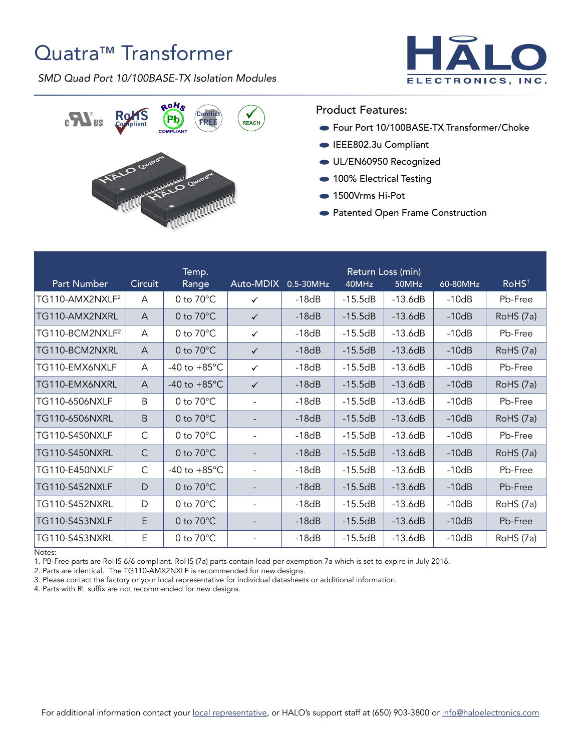## Quatra™ Transformer

*SMD Quad Port 10/100BASE-TX Isolation Modules*





## Product Features:

- Four Port 10/100BASE-TX Transformer/Choke
- EEE802.3u Compliant
- UL/EN60950 Recognized
- 100% Electrical Testing
- 1500Vrms Hi-Pot
- Patented Open Frame Construction

| <b>Part Number</b>          | <b>Circuit</b> | Temp.<br>Range         | Auto-MDIX                | 0.5-30MHz | 40MHz     | Return Loss (min)<br>50MHz | 60-80MHz | RoHS <sup>1</sup> |
|-----------------------------|----------------|------------------------|--------------------------|-----------|-----------|----------------------------|----------|-------------------|
| TG110-AMX2NXLF <sup>2</sup> | A              | 0 to $70^{\circ}$ C    | $\checkmark$             | $-18dB$   | $-15.5dB$ | $-13.6dB$                  | $-10dB$  | Pb-Free           |
| TG110-AMX2NXRL              | A              | 0 to $70^{\circ}$ C    | $\checkmark$             | $-18dB$   | $-15.5dB$ | $-13.6dB$                  | $-10dB$  | RoHS (7a)         |
| TG110-BCM2NXLF <sup>2</sup> | A              | 0 to 70°C              | $\checkmark$             | $-18dB$   | $-15.5dB$ | $-13.6dB$                  | $-10dB$  | Pb-Free           |
| TG110-BCM2NXRL              | A              | 0 to $70^{\circ}$ C    | $\checkmark$             | $-18dB$   | $-15.5dB$ | $-13.6dB$                  | $-10dB$  | RoHS (7a)         |
| TG110-EMX6NXLF              | A              | -40 to $+85^{\circ}$ C | $\checkmark$             | $-18dB$   | $-15.5dB$ | $-13.6dB$                  | $-10dB$  | Pb-Free           |
| TG110-EMX6NXRL              | A              | -40 to $+85^{\circ}$ C | $\checkmark$             | $-18dB$   | $-15.5dB$ | $-13.6dB$                  | $-10dB$  | RoHS (7a)         |
| TG110-6506NXLF              | Β              | 0 to 70°C              | $\overline{\phantom{a}}$ | $-18dB$   | $-15.5dB$ | $-13.6dB$                  | $-10dB$  | Pb-Free           |
| TG110-6506NXRL              | B              | 0 to $70^{\circ}$ C    | $\overline{\phantom{a}}$ | $-18dB$   | $-15.5dB$ | $-13.6dB$                  | $-10dB$  | RoHS (7a)         |
| <b>TG110-S450NXLF</b>       | $\mathsf{C}$   | 0 to $70^{\circ}$ C    | $\overline{\phantom{a}}$ | $-18dB$   | $-15.5dB$ | $-13.6dB$                  | $-10dB$  | Pb-Free           |
| <b>TG110-S450NXRL</b>       | $\mathsf{C}$   | 0 to $70^{\circ}$ C    | $\overline{\phantom{0}}$ | $-18dB$   | $-15.5dB$ | $-13.6dB$                  | $-10dB$  | RoHS (7a)         |
| <b>TG110-E450NXLF</b>       | C              | -40 to $+85^{\circ}$ C | $\overline{\phantom{a}}$ | $-18dB$   | $-15.5dB$ | $-13.6dB$                  | $-10dB$  | Pb-Free           |
| <b>TG110-S452NXLF</b>       | D              | 0 to $70^{\circ}$ C    | $\overline{\phantom{a}}$ | $-18dB$   | $-15.5dB$ | $-13.6dB$                  | $-10dB$  | Pb-Free           |
| <b>TG110-S452NXRL</b>       | D              | 0 to $70^{\circ}$ C    | $\overline{\phantom{a}}$ | $-18dB$   | $-15.5dB$ | $-13.6dB$                  | $-10dB$  | RoHS (7a)         |
| <b>TG110-S453NXLF</b>       | E              | 0 to $70^{\circ}$ C    |                          | $-18dB$   | $-15.5dB$ | $-13.6dB$                  | $-10dB$  | Pb-Free           |
| TG110-S453NXRL              | E              | 0 to $70^{\circ}$ C    | $\overline{\phantom{a}}$ | $-18dB$   | $-15.5dB$ | $-13.6dB$                  | $-10dB$  | RoHS (7a)         |

Notes:

1. PB-Free parts are RoHS 6/6 compliant. RoHS (7a) parts contain lead per exemption 7a which is set to expire in July 2016.

2. Parts are identical. The TG110-AMX2NXLF is recommended for new designs.

3. Please contact the factory or your local representative for individual datasheets or additional information.

4. Parts with RL suffix are not recommended for new designs.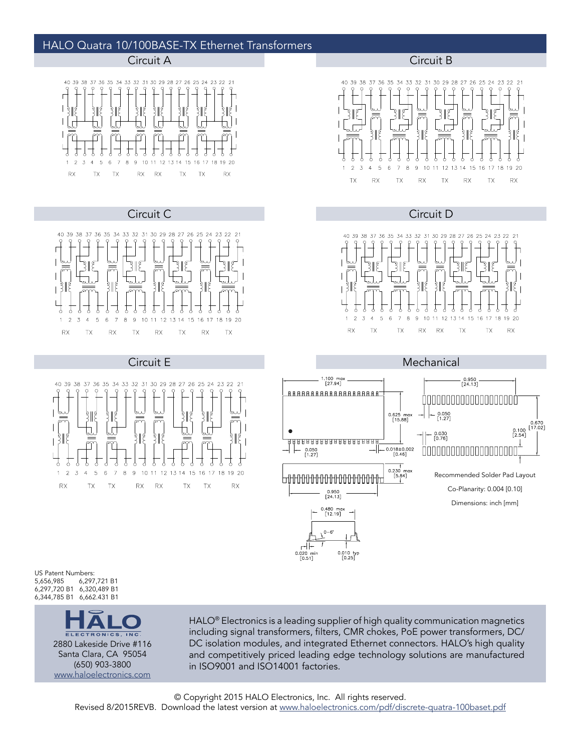## HALO Quatra 10/100BASE-TX Ethernet Transformers



Circuit C Circuit D









Circuit E **Mechanical** 1.100 max<br>[27.94]  $\begin{bmatrix} 0.950 \\ 24.13 \end{bmatrix}$ 888888888888888888 0000000000000000000  $\begin{bmatrix} 0.050 \\ 1.27 \end{bmatrix}$  $0.625$  max  $\begin{array}{c} \n 1 \\
0.670 \\
0.100 \\
[2.54] \\
1\n\end{array}$  $\bullet$ – 0.030<br>[0.76] **BBBBBBBBBBBBBBBBBB**  $0.050$ <br>[1.27] 0.018±0.002<br>[0.46] 000000000000000000 0.230 max<br>[5.84] Recommended Solder Pad Layout ╘╾╔╌╔╌╔╌╔╌╔╌╔╌╔╌╔╌╔╌╔╌╔╌╔╌╔╌╔╌╔ Co-Planarity: 0.004 [0.10]  $\begin{bmatrix} 0.950 \\ 24.13 \end{bmatrix}$ Dimensions: inch [mm]0.480 max<br>[12.19]  $0 - 6$ 

US Patent Numbers:<br>5,656,985 6,297 5,656,985 6,297,721 B1 6,297,720 B1 6,320,489 B1 6,344,785 B1 6,662.431 B1



HALO<sup>®</sup> Electronics is a leading supplier of high quality communication magnetics including signal transformers, filters, CMR chokes, PoE power transformers, DC/ DC isolation modules, and integrated Ethernet connectors. HALO's high quality and competitively priced leading edge technology solutions are manufactured in ISO9001 and ISO14001 factories.

0.010 typ<br>[0.25]

0.020 mir<br>[0.51]

Revised 8/2015REVB. Download the latest version at [www.haloelectronics.com/pdf/discrete-quatra-100baset.pdf](http://www.haloelectronics.com/pdf/discrete-quatra-100baset.pdf)